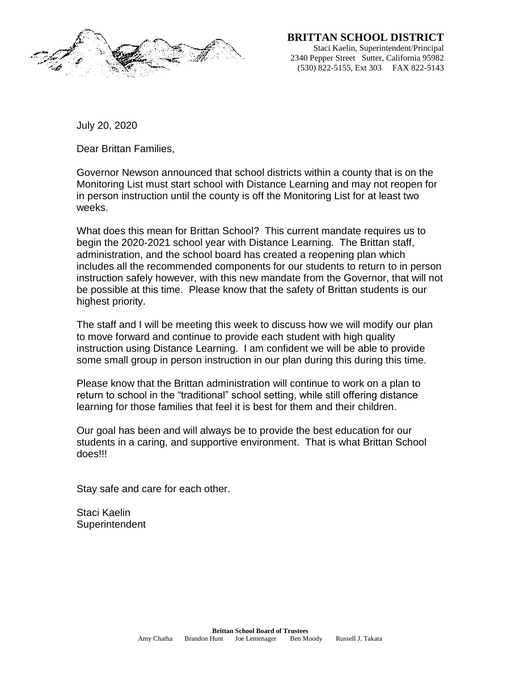

 **BRITTAN SCHOOL DISTRICT**

Staci Kaelin, Superintendent/Principal 2340 Pepper Street Sutter, California 95982 (530) 822-5155, Ext 303 FAX 822-5143

July 20, 2020

Dear Brittan Families,

Governor Newson announced that school districts within a county that is on the Monitoring List must start school with Distance Learning and may not reopen for in person instruction until the county is off the Monitoring List for at least two weeks.

What does this mean for Brittan School? This current mandate requires us to begin the 2020-2021 school year with Distance Learning. The Brittan staff, administration, and the school board has created a reopening plan which includes all the recommended components for our students to return to in person instruction safely however, with this new mandate from the Governor, that will not be possible at this time. Please know that the safety of Brittan students is our highest priority.

The staff and I will be meeting this week to discuss how we will modify our plan to move forward and continue to provide each student with high quality instruction using Distance Learning. I am confident we will be able to provide some small group in person instruction in our plan during this during this time.

Please know that the Brittan administration will continue to work on a plan to return to school in the "traditional" school setting, while still offering distance learning for those families that feel it is best for them and their children.

Our goal has been and will always be to provide the best education for our students in a caring, and supportive environment. That is what Brittan School does!!!

Stay safe and care for each other.

Staci Kaelin **Superintendent**